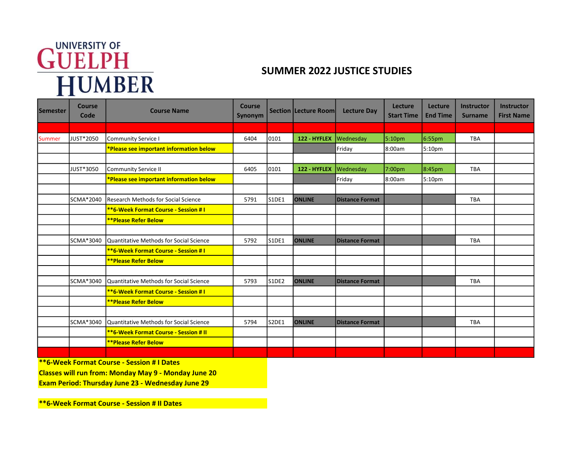## GUELPH<br>HUMBER<br>HUMBER

| <b>Semester</b> | <b>Course</b><br>Code | <b>Course Name</b>                             | <b>Course</b><br>Synonym |       | <b>Section Lecture Room</b> | <b>Lecture Day</b>     | Lecture<br><b>Start Time</b> | <b>Lecture</b><br><b>End Time</b> | Instructor<br><b>Surname</b> | <b>Instructor</b><br><b>First Name</b> |
|-----------------|-----------------------|------------------------------------------------|--------------------------|-------|-----------------------------|------------------------|------------------------------|-----------------------------------|------------------------------|----------------------------------------|
|                 |                       |                                                |                          |       |                             |                        |                              |                                   |                              |                                        |
| Summer          | JUST*2050             | <b>Community Service I</b>                     | 6404                     | 0101  | 122 - HYFLEX                | Wednesday              | 5:10pm                       | 6:55pm                            | <b>TBA</b>                   |                                        |
|                 |                       | *Please see important information below        |                          |       |                             | Friday                 | 8:00am                       | 5:10pm                            |                              |                                        |
|                 |                       |                                                |                          |       |                             |                        |                              |                                   |                              |                                        |
|                 | JUST*3050             | <b>Community Service II</b>                    | 6405                     | 0101  | 122 - HYFLEX                | Wednesday              | 7:00pm                       | 8:45pm                            | <b>TBA</b>                   |                                        |
|                 |                       | *Please see important information below        |                          |       |                             | Friday                 | 8:00am                       | 5:10pm                            |                              |                                        |
|                 |                       |                                                |                          |       |                             |                        |                              |                                   |                              |                                        |
|                 | SCMA*2040             | <b>Research Methods for Social Science</b>     | 5791                     | S1DE1 | <b>ONLINE</b>               | <b>Distance Format</b> |                              |                                   | <b>TBA</b>                   |                                        |
|                 |                       | <b>**6-Week Format Course - Session #1</b>     |                          |       |                             |                        |                              |                                   |                              |                                        |
|                 |                       | <b>**Please Refer Below</b>                    |                          |       |                             |                        |                              |                                   |                              |                                        |
|                 |                       |                                                |                          |       |                             |                        |                              |                                   |                              |                                        |
|                 | SCMA*3040             | <b>Quantitative Methods for Social Science</b> | 5792                     | S1DE1 | <b>ONLINE</b>               | <b>Distance Format</b> |                              |                                   | <b>TBA</b>                   |                                        |
|                 |                       | **6-Week Format Course - Session # I           |                          |       |                             |                        |                              |                                   |                              |                                        |
|                 |                       | <b>**Please Refer Below</b>                    |                          |       |                             |                        |                              |                                   |                              |                                        |
|                 |                       |                                                |                          |       |                             |                        |                              |                                   |                              |                                        |
|                 | SCMA*3040             | Quantitative Methods for Social Science        | 5793                     | S1DE2 | <b>ONLINE</b>               | <b>Distance Format</b> |                              |                                   | <b>TBA</b>                   |                                        |
|                 |                       | <b>**6-Week Format Course - Session #1</b>     |                          |       |                             |                        |                              |                                   |                              |                                        |
|                 |                       | <b>**Please Refer Below</b>                    |                          |       |                             |                        |                              |                                   |                              |                                        |
|                 |                       |                                                |                          |       |                             |                        |                              |                                   |                              |                                        |
|                 | SCMA*3040             | Quantitative Methods for Social Science        | 5794                     | S2DE1 | <b>ONLINE</b>               | <b>Distance Format</b> |                              |                                   | <b>TBA</b>                   |                                        |
|                 |                       | <b>**6-Week Format Course - Session # II</b>   |                          |       |                             |                        |                              |                                   |                              |                                        |
|                 |                       | <b>**Please Refer Below</b>                    |                          |       |                             |                        |                              |                                   |                              |                                        |
|                 |                       |                                                |                          |       |                             |                        |                              |                                   |                              |                                        |

\*\*6-Week Format Course - Session # I Dates

Classes will run from: Monday May 9 - Monday June 20

Exam Period: Thursday June 23 - Wednesday June 29

\*\*6-Week Format Course - Session # II Dates